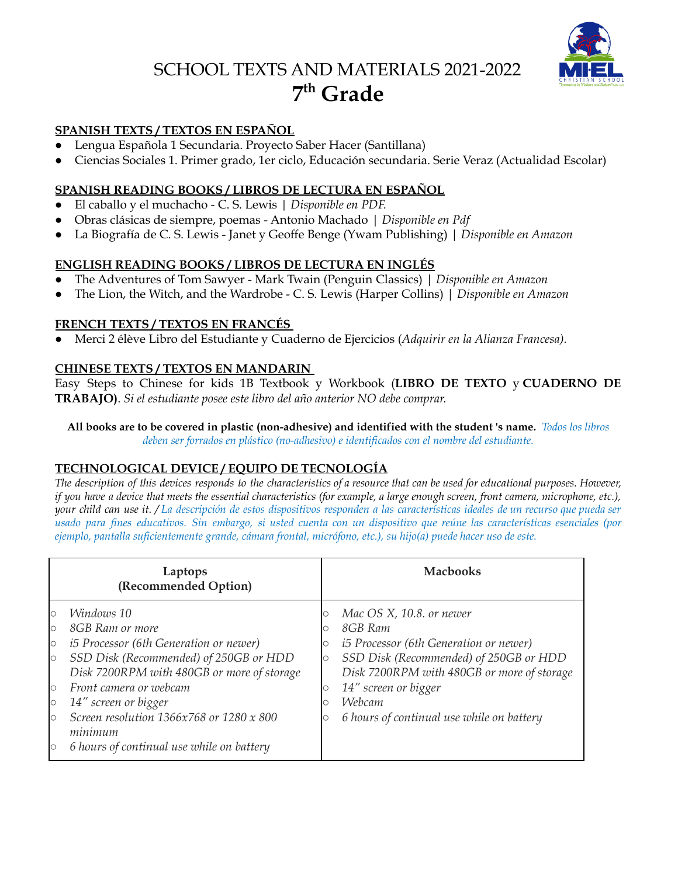# SCHOOL TEXTS AND MATERIALS 2021-2022 **7 th Grade**



#### **SPANISH TEXTS / TEXTOS EN ESPAÑOL**

- Lengua Española 1 Secundaria. Proyecto Saber Hacer (Santillana)
- Ciencias Sociales 1. Primer grado, 1er ciclo, Educación secundaria. Serie Veraz (Actualidad Escolar)

#### **SPANISH READING BOOKS / LIBROS DE LECTURA EN ESPAÑOL**

- El caballo y el muchacho C. S. Lewis *| Disponible en PDF.*
- Obras clásicas de siempre, poemas Antonio Machado | *Disponible en Pdf*
- La Biografía de C. S. Lewis Janet y Geoffe Benge (Ywam Publishing) | *Disponible en Amazon*

# **ENGLISH READING BOOKS / LIBROS DE LECTURA EN INGLÉS**

- The Adventures of Tom Sawyer Mark Twain (Penguin Classics) | *Disponible en Amazon*
- The Lion, the Witch, and the Wardrobe C. S. Lewis (Harper Collins) | *Disponible en Amazon*

#### **FRENCH TEXTS / TEXTOS EN FRANCÉS**

**●** Merci 2 élève Libro del Estudiante y Cuaderno de Ejercicios (*Adquirir en la Alianza Francesa).*

#### **CHINESE TEXTS / TEXTOS EN MANDARIN**

Easy Steps to Chinese for kids 1B Textbook y Workbook (**LIBRO DE TEXTO** y **CUADERNO DE TRABAJO)**. *Si el estudiante posee este libro del año anterior NO debe comprar.*

All books are to be covered in plastic (non-adhesive) and identified with the student 's name. Todos los libros *deben ser forrados en plástico (no-adhesivo) e identificados con el nombre del estudiante.*

# **TECHNOLOGICAL DEVICE / EQUIPO DE TECNOLOGÍA**

The description of this devices responds to the characteristics of a resource that can be used for educational purposes. However, if you have a device that meets the essential characteristics (for example, a large enough screen, front camera, microphone, etc.), your child can use it. / La descripción de estos dispositivos responden a las características ideales de un recurso que pueda ser usado para fines educativos. Sin embargo, si usted cuenta con un dispositivo que reúne las características esenciales (por *ejemplo, pantalla suficientemente grande, cámara frontal, micrófono, etc.), su hijo(a) puede hacer uso de este.*

| Laptops<br>(Recommended Option)                                                 |                                                                                                                                                                                                                                                                                                                              | <b>Machooks</b>                       |                                                                                                                                                                                                                                                             |
|---------------------------------------------------------------------------------|------------------------------------------------------------------------------------------------------------------------------------------------------------------------------------------------------------------------------------------------------------------------------------------------------------------------------|---------------------------------------|-------------------------------------------------------------------------------------------------------------------------------------------------------------------------------------------------------------------------------------------------------------|
| lo<br>$\circ$<br>$\circ$<br>$\circ$<br>$\circ$<br>$\circ$<br>$\circ$<br>$\circ$ | Windows 10<br>8GB Ram or more<br><i>i5 Processor (6th Generation or newer)</i><br>SSD Disk (Recommended) of 250GB or HDD<br>Disk 7200RPM with 480GB or more of storage<br>Front camera or webcam<br>14" screen or bigger<br>Screen resolution 1366x768 or 1280 x 800<br>minimum<br>6 hours of continual use while on battery | О<br>О<br>О<br>$\circ$<br>О<br>О<br>O | Mac OS X, 10.8. or newer<br>8GB Ram<br><i>i5 Processor (6th Generation or newer)</i><br>SSD Disk (Recommended) of 250GB or HDD<br>Disk 7200RPM with 480GB or more of storage<br>14" screen or bigger<br>Webcam<br>6 hours of continual use while on battery |